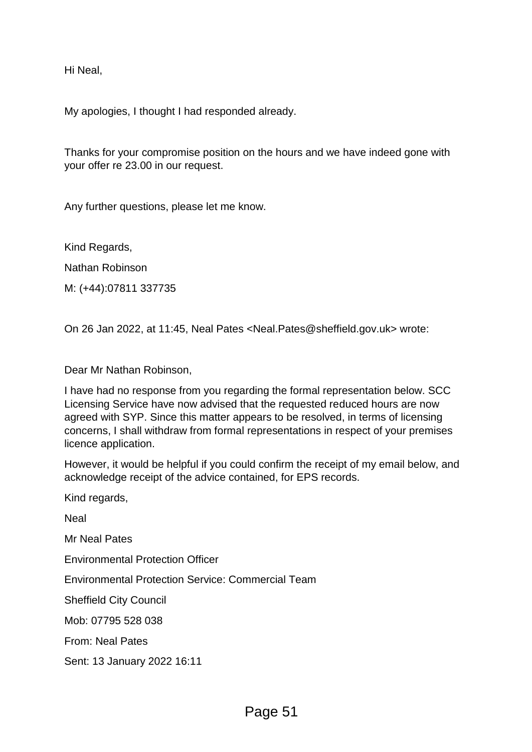Hi Neal,

My apologies, I thought I had responded already.

Thanks for your compromise position on the hours and we have indeed gone with your offer re 23.00 in our request.

Any further questions, please let me know.

Kind Regards,

Nathan Robinson

M: (+44):07811 337735

On 26 Jan 2022, at 11:45, Neal Pates <Neal.Pates@sheffield.gov.uk> wrote:

Dear Mr Nathan Robinson,

I have had no response from you regarding the formal representation below. SCC Licensing Service have now advised that the requested reduced hours are now agreed with SYP. Since this matter appears to be resolved, in terms of licensing concerns, I shall withdraw from formal representations in respect of your premises licence application.

However, it would be helpful if you could confirm the receipt of my email below, and acknowledge receipt of the advice contained, for EPS records.

Kind regards,

Neal

Mr Neal Pates

Environmental Protection Officer

Environmental Protection Service: Commercial Team

Sheffield City Council

Mob: 07795 528 038

From: Neal Pates

Sent: 13 January 2022 16:11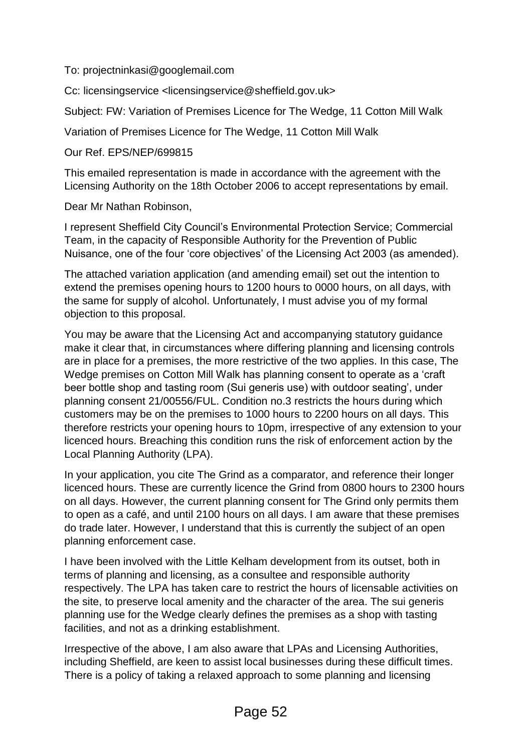To: projectninkasi@googlemail.com

Cc: licensingservice <licensingservice@sheffield.gov.uk>

Subject: FW: Variation of Premises Licence for The Wedge, 11 Cotton Mill Walk

Variation of Premises Licence for The Wedge, 11 Cotton Mill Walk

Our Ref. EPS/NEP/699815

This emailed representation is made in accordance with the agreement with the Licensing Authority on the 18th October 2006 to accept representations by email.

Dear Mr Nathan Robinson,

I represent Sheffield City Council's Environmental Protection Service; Commercial Team, in the capacity of Responsible Authority for the Prevention of Public Nuisance, one of the four 'core objectives' of the Licensing Act 2003 (as amended).

The attached variation application (and amending email) set out the intention to extend the premises opening hours to 1200 hours to 0000 hours, on all days, with the same for supply of alcohol. Unfortunately, I must advise you of my formal objection to this proposal.

You may be aware that the Licensing Act and accompanying statutory guidance make it clear that, in circumstances where differing planning and licensing controls are in place for a premises, the more restrictive of the two applies. In this case, The Wedge premises on Cotton Mill Walk has planning consent to operate as a 'craft beer bottle shop and tasting room (Sui generis use) with outdoor seating', under planning consent 21/00556/FUL. Condition no.3 restricts the hours during which customers may be on the premises to 1000 hours to 2200 hours on all days. This therefore restricts your opening hours to 10pm, irrespective of any extension to your licenced hours. Breaching this condition runs the risk of enforcement action by the Local Planning Authority (LPA).

In your application, you cite The Grind as a comparator, and reference their longer licenced hours. These are currently licence the Grind from 0800 hours to 2300 hours on all days. However, the current planning consent for The Grind only permits them to open as a café, and until 2100 hours on all days. I am aware that these premises do trade later. However, I understand that this is currently the subject of an open planning enforcement case.

I have been involved with the Little Kelham development from its outset, both in terms of planning and licensing, as a consultee and responsible authority respectively. The LPA has taken care to restrict the hours of licensable activities on the site, to preserve local amenity and the character of the area. The sui generis planning use for the Wedge clearly defines the premises as a shop with tasting facilities, and not as a drinking establishment.

Irrespective of the above, I am also aware that LPAs and Licensing Authorities, including Sheffield, are keen to assist local businesses during these difficult times. There is a policy of taking a relaxed approach to some planning and licensing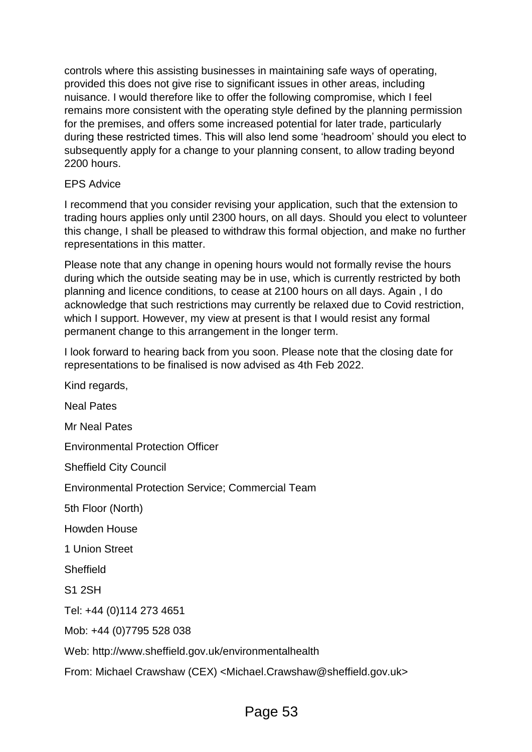controls where this assisting businesses in maintaining safe ways of operating, provided this does not give rise to significant issues in other areas, including nuisance. I would therefore like to offer the following compromise, which I feel remains more consistent with the operating style defined by the planning permission for the premises, and offers some increased potential for later trade, particularly during these restricted times. This will also lend some 'headroom' should you elect to subsequently apply for a change to your planning consent, to allow trading beyond 2200 hours.

## EPS Advice

I recommend that you consider revising your application, such that the extension to trading hours applies only until 2300 hours, on all days. Should you elect to volunteer this change, I shall be pleased to withdraw this formal objection, and make no further representations in this matter.

Please note that any change in opening hours would not formally revise the hours during which the outside seating may be in use, which is currently restricted by both planning and licence conditions, to cease at 2100 hours on all days. Again , I do acknowledge that such restrictions may currently be relaxed due to Covid restriction, which I support. However, my view at present is that I would resist any formal permanent change to this arrangement in the longer term.

I look forward to hearing back from you soon. Please note that the closing date for representations to be finalised is now advised as 4th Feb 2022.

Kind regards, Neal Pates Mr Neal Pates Environmental Protection Officer Sheffield City Council Environmental Protection Service; Commercial Team 5th Floor (North) Howden House 1 Union Street Sheffield S1 2SH Tel: +44 (0)114 273 4651 Mob: +44 (0)7795 528 038 Web: http://www.sheffield.gov.uk/environmentalhealth From: Michael Crawshaw (CEX) <Michael.Crawshaw@sheffield.gov.uk>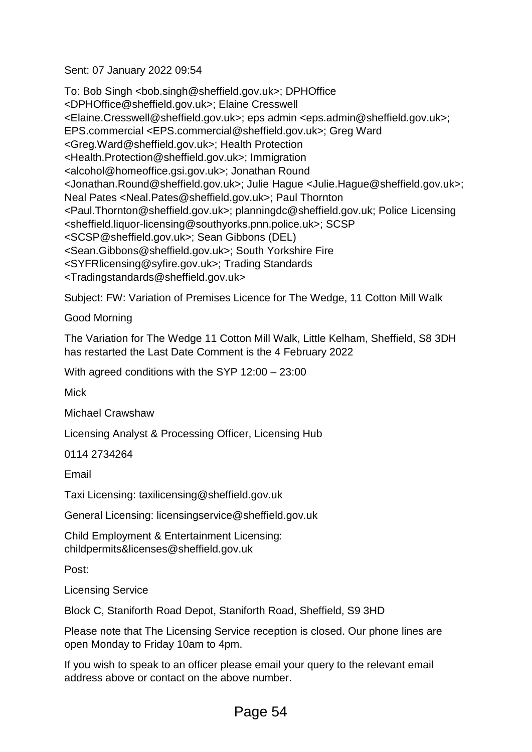Sent: 07 January 2022 09:54

To: Bob Singh <bob.singh@sheffield.gov.uk>; DPHOffice <DPHOffice@sheffield.gov.uk>; Elaine Cresswell <Elaine.Cresswell@sheffield.gov.uk>; eps admin <eps.admin@sheffield.gov.uk>; EPS.commercial <EPS.commercial@sheffield.gov.uk>; Greg Ward <Greg.Ward@sheffield.gov.uk>; Health Protection <Health.Protection@sheffield.gov.uk>; Immigration <alcohol@homeoffice.gsi.gov.uk>; Jonathan Round <Jonathan.Round@sheffield.gov.uk>; Julie Hague <Julie.Hague@sheffield.gov.uk>; Neal Pates <Neal.Pates@sheffield.gov.uk>; Paul Thornton <Paul.Thornton@sheffield.gov.uk>; planningdc@sheffield.gov.uk; Police Licensing <sheffield.liquor-licensing@southyorks.pnn.police.uk>; SCSP <SCSP@sheffield.gov.uk>; Sean Gibbons (DEL) <Sean.Gibbons@sheffield.gov.uk>; South Yorkshire Fire <SYFRlicensing@syfire.gov.uk>; Trading Standards <Tradingstandards@sheffield.gov.uk>

Subject: FW: Variation of Premises Licence for The Wedge, 11 Cotton Mill Walk

Good Morning

The Variation for The Wedge 11 Cotton Mill Walk, Little Kelham, Sheffield, S8 3DH has restarted the Last Date Comment is the 4 February 2022

With agreed conditions with the SYP 12:00 – 23:00

Mick

Michael Crawshaw

Licensing Analyst & Processing Officer, Licensing Hub

0114 2734264

Email

Taxi Licensing: taxilicensing@sheffield.gov.uk

General Licensing: licensingservice@sheffield.gov.uk

Child Employment & Entertainment Licensing: childpermits&licenses@sheffield.gov.uk

Post:

Licensing Service

Block C, Staniforth Road Depot, Staniforth Road, Sheffield, S9 3HD

Please note that The Licensing Service reception is closed. Our phone lines are open Monday to Friday 10am to 4pm.

If you wish to speak to an officer please email your query to the relevant email address above or contact on the above number.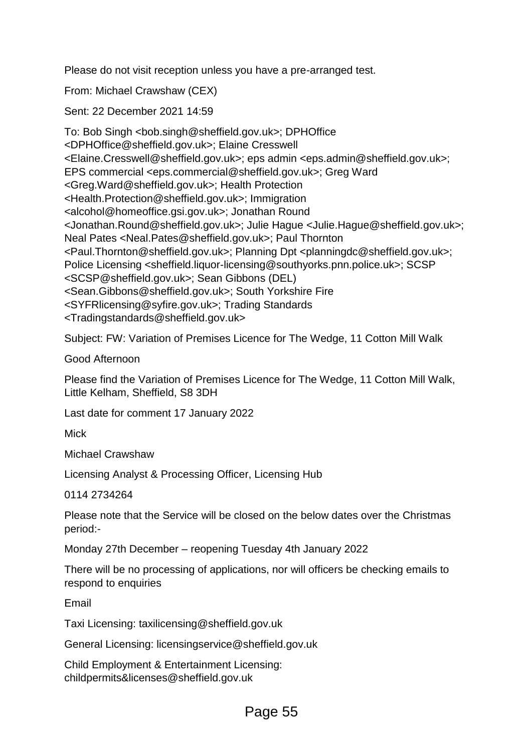Please do not visit reception unless you have a pre-arranged test.

From: Michael Crawshaw (CEX)

Sent: 22 December 2021 14:59

To: Bob Singh <bob.singh@sheffield.gov.uk>; DPHOffice <DPHOffice@sheffield.gov.uk>; Elaine Cresswell <Elaine.Cresswell@sheffield.gov.uk>; eps admin <eps.admin@sheffield.gov.uk>; EPS commercial <eps.commercial@sheffield.gov.uk>; Greg Ward <Greg.Ward@sheffield.gov.uk>; Health Protection <Health.Protection@sheffield.gov.uk>; Immigration <alcohol@homeoffice.gsi.gov.uk>; Jonathan Round <Jonathan.Round@sheffield.gov.uk>; Julie Hague <Julie.Hague@sheffield.gov.uk>; Neal Pates <Neal.Pates@sheffield.gov.uk>; Paul Thornton <Paul.Thornton@sheffield.gov.uk>; Planning Dpt <planningdc@sheffield.gov.uk>; Police Licensing <sheffield.liquor-licensing@southyorks.pnn.police.uk>; SCSP <SCSP@sheffield.gov.uk>; Sean Gibbons (DEL) <Sean.Gibbons@sheffield.gov.uk>; South Yorkshire Fire <SYFRlicensing@syfire.gov.uk>; Trading Standards <Tradingstandards@sheffield.gov.uk>

Subject: FW: Variation of Premises Licence for The Wedge, 11 Cotton Mill Walk

Good Afternoon

Please find the Variation of Premises Licence for The Wedge, 11 Cotton Mill Walk, Little Kelham, Sheffield, S8 3DH

Last date for comment 17 January 2022

Mick

Michael Crawshaw

Licensing Analyst & Processing Officer, Licensing Hub

0114 2734264

Please note that the Service will be closed on the below dates over the Christmas period:-

Monday 27th December – reopening Tuesday 4th January 2022

There will be no processing of applications, nor will officers be checking emails to respond to enquiries

Email

Taxi Licensing: taxilicensing@sheffield.gov.uk

General Licensing: licensingservice@sheffield.gov.uk

Child Employment & Entertainment Licensing: childpermits&licenses@sheffield.gov.uk